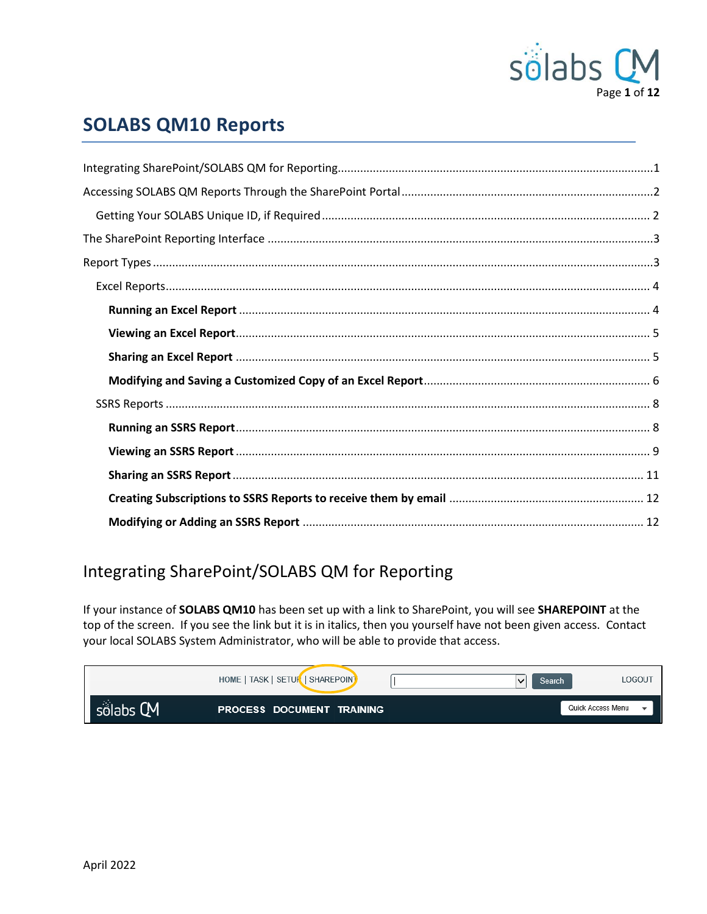

## **SOLABS QM10 Reports**

## <span id="page-0-0"></span>Integrating SharePoint/SOLABS QM for Reporting

If your instance of SOLABS QM10 has been set up with a link to SharePoint, you will see SHAREPOINT at the top of the screen. If you see the link but it is in italics, then you yourself have not been given access. Contact your local SOLABS System Administrator, who will be able to provide that access.

|           | HOME   TASK   SETUR   SHAREPOINT | LOGOUT<br>Search  |  |
|-----------|----------------------------------|-------------------|--|
| sölabs CM | <b>PROCESS DOCUMENT TRAINING</b> | Quick Access Menu |  |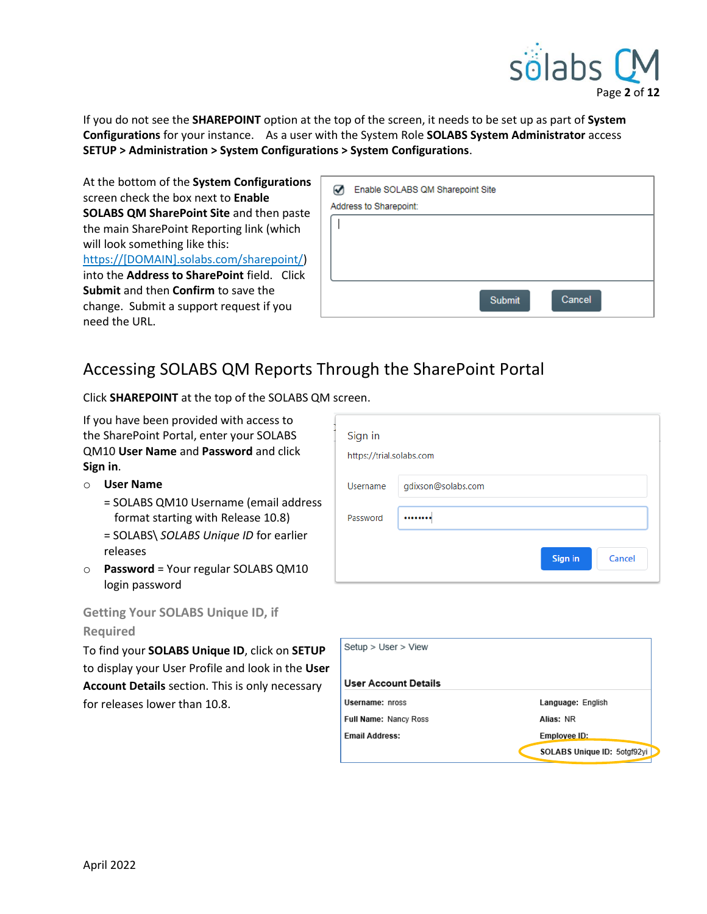

If you do not see the **SHAREPOINT** option at the top of the screen, it needs to be set up as part of **System Configurations** for your instance. As a user with the System Role **SOLABS System Administrator** access **SETUP > Administration > System Configurations > System Configurations**.

At the bottom of the **System Configurations** screen check the box next to **Enable SOLABS QM SharePoint Site** and then paste the main SharePoint Reporting link (which will look something like this: https://[DOMAIN].solabs.com/sharepoint/) into the **Address to SharePoint** field. Click **Submit** and then **Confirm** to save the change. Submit a support request if you need the URL.

|                        | Enable SOLABS QM Sharepoint Site |        |        |
|------------------------|----------------------------------|--------|--------|
| Address to Sharepoint: |                                  |        |        |
|                        |                                  |        |        |
|                        |                                  |        |        |
|                        |                                  |        |        |
|                        |                                  |        |        |
|                        |                                  | Submit | Cancel |

## <span id="page-1-0"></span>Accessing SOLABS QM Reports Through the SharePoint Portal

Click **SHAREPOINT** at the top of the SOLABS QM screen.

If you have been provided with access to the SharePoint Portal, enter your SOLABS QM10 **User Name** and **Password** and click **Sign in**.

- o **User Name**
	- = SOLABS QM10 Username (email address format starting with Release 10.8)
	- = SOLABS\ *SOLABS Unique ID* for earlier releases
- o **Password** = Your regular SOLABS QM10 login password

## <span id="page-1-1"></span>**Getting Your SOLABS Unique ID, if**

#### **Required**

To find your **SOLABS Unique ID**, click on **SETUP** to display your User Profile and look in the **User Account Details** section. This is only necessary for releases lower than 10.8.

| ٠<br>Sign in<br>https://trial.solabs.com |                    |
|------------------------------------------|--------------------|
| <b>Username</b>                          | gdixson@solabs.com |
| Password                                 |                    |
|                                          | Sign in<br>Cancel  |

| Setup > User > View   |                             |
|-----------------------|-----------------------------|
| User Account Details  |                             |
| Username: nross       | Language: English           |
| Full Name: Nancy Ross | Alias: NR                   |
| <b>Email Address:</b> | Employee ID:                |
|                       | SOLABS Unique ID: 5otgf92yi |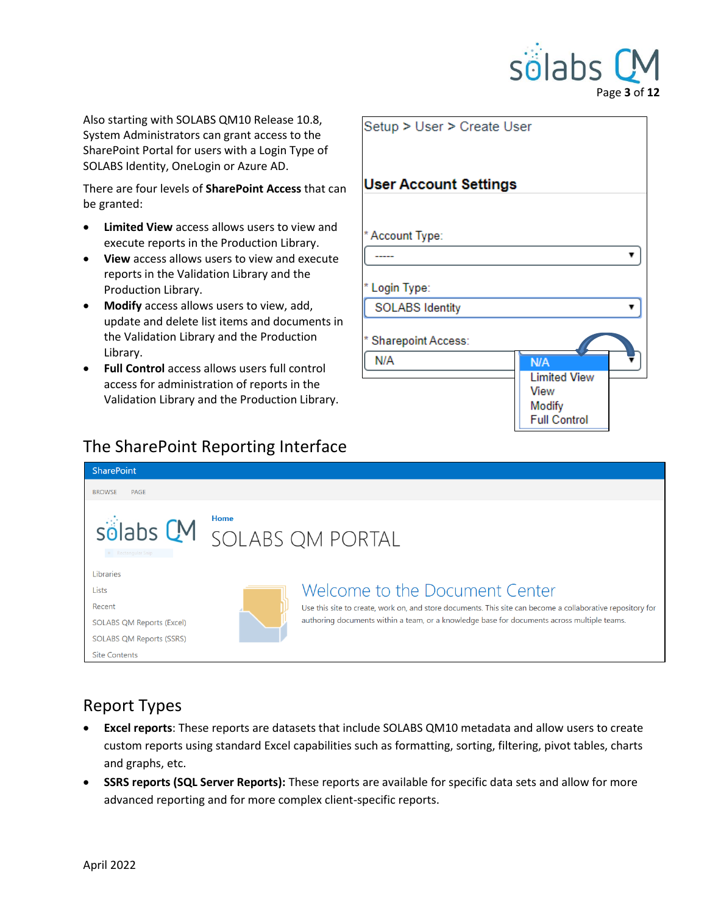

Also starting with SOLABS QM10 Release 10.8, System Administrators can grant access to the SharePoint Portal for users with a Login Type of SOLABS Identity, OneLogin or Azure AD.

There are four levels of **SharePoint Access** that can be granted:

- **Limited View** access allows users to view and execute reports in the Production Library.
- **View** access allows users to view and execute reports in the Validation Library and the Production Library.
- **Modify** access allows users to view, add, update and delete list items and documents in the Validation Library and the Production Library.
- **Full Control** access allows users full control access for administration of reports in the Validation Library and the Production Library.

| Setup > User > Create User              |                                                              |
|-----------------------------------------|--------------------------------------------------------------|
| <b>User Account Settings</b>            |                                                              |
| * Account Type:                         |                                                              |
| * Login Type:<br><b>SOLABS Identity</b> |                                                              |
| * Sharepoint Access:<br>N/A             | <b>N/A</b>                                                   |
|                                         | <b>Limited View</b><br>View<br>Modify<br><b>Full Control</b> |

## <span id="page-2-0"></span>The SharePoint Reporting Interface

| <b>SharePoint</b>                                                                                             |             |                                                                                                                                                                                                                                             |
|---------------------------------------------------------------------------------------------------------------|-------------|---------------------------------------------------------------------------------------------------------------------------------------------------------------------------------------------------------------------------------------------|
| <b>BROWSE</b><br><b>PAGE</b>                                                                                  |             |                                                                                                                                                                                                                                             |
| solabs CM SOLABS OM PORTAL<br>· Rectangular Snip                                                              | <b>Home</b> |                                                                                                                                                                                                                                             |
| Libraries<br>Lists<br>Recent<br>SOLABS QM Reports (Excel)<br>SOLABS QM Reports (SSRS)<br><b>Site Contents</b> |             | Welcome to the Document Center<br>Use this site to create, work on, and store documents. This site can become a collaborative repository for<br>authoring documents within a team, or a knowledge base for documents across multiple teams. |

## <span id="page-2-1"></span>Report Types

- **Excel reports**: These reports are datasets that include SOLABS QM10 metadata and allow users to create custom reports using standard Excel capabilities such as formatting, sorting, filtering, pivot tables, charts and graphs, etc.
- **SSRS reports (SQL Server Reports):** These reports are available for specific data sets and allow for more advanced reporting and for more complex client-specific reports.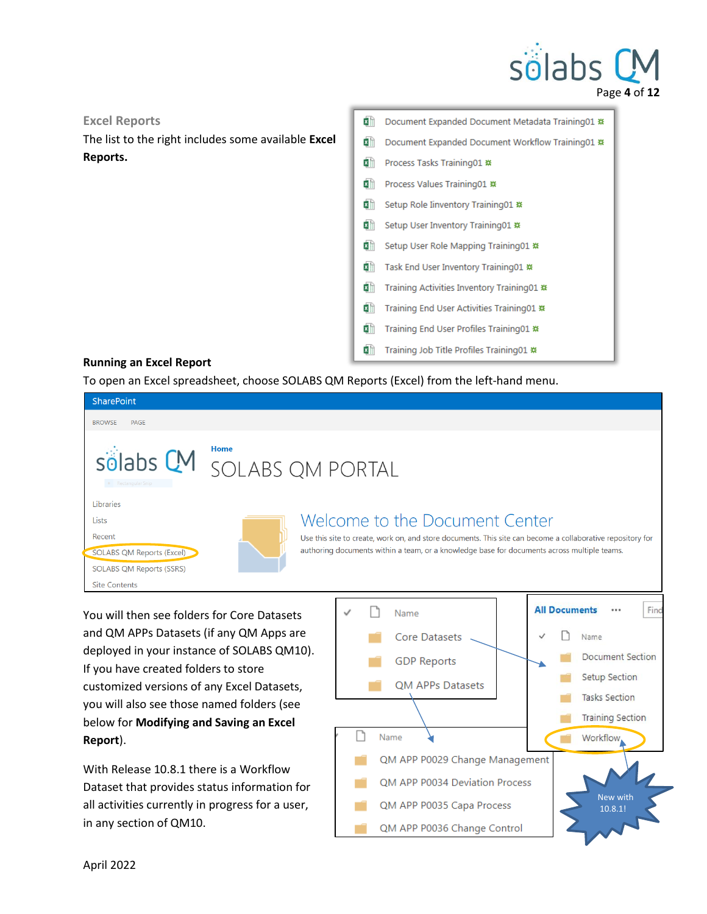## sölabs Page **4** of **12**

#### <span id="page-3-0"></span>**Excel Reports**

The list to the right includes some available **Excel Reports.**

Document Expanded Document Metadata Training01 \* ×∎ Document Expanded Document Workflow Training01 \* 图 Process Tasks Training01 # 图 Process Values Training01 \*\* Setup Role Inventory Training01 \* Setup User Inventory Training01 ※ ×∎ Setup User Role Mapping Training01 \* 图 Task End User Inventory Training01 \* Training Activities Inventory Training01 \* Training End User Activities Training01 \* Training End User Profiles Training01 \* 제 Training Job Title Profiles Training01 \*\*

#### <span id="page-3-1"></span>**Running an Excel Report**

To open an Excel spreadsheet, choose SOLABS QM Reports (Excel) from the left-hand menu.

| <b>SharePoint</b>                                                                                                    |                                                                                                                                                                                                                                             |
|----------------------------------------------------------------------------------------------------------------------|---------------------------------------------------------------------------------------------------------------------------------------------------------------------------------------------------------------------------------------------|
| <b>BROWSE</b><br>PAGE                                                                                                |                                                                                                                                                                                                                                             |
| • Rectangular Snip                                                                                                   | Home<br>solabs CM SOLABS OM PORTAL                                                                                                                                                                                                          |
| Libraries<br>Lists<br>Recent<br><b>SOLABS QM Reports (Excel)</b><br>SOLABS QM Reports (SSRS)<br><b>Site Contents</b> | Welcome to the Document Center<br>Use this site to create, work on, and store documents. This site can become a collaborative repository for<br>authoring documents within a team, or a knowledge base for documents across multiple teams. |

You will then see folders for Core Datasets and QM APPs Datasets (if any QM Apps are deployed in your instance of SOLABS QM10). If you have created folders to store customized versions of any Excel Datasets, you will also see those named folders (see below for **Modifying and Saving an Excel Report**).

With Release 10.8.1 there is a Workflow Dataset that provides status information for all activities currently in progress for a user, in any section of QM10.

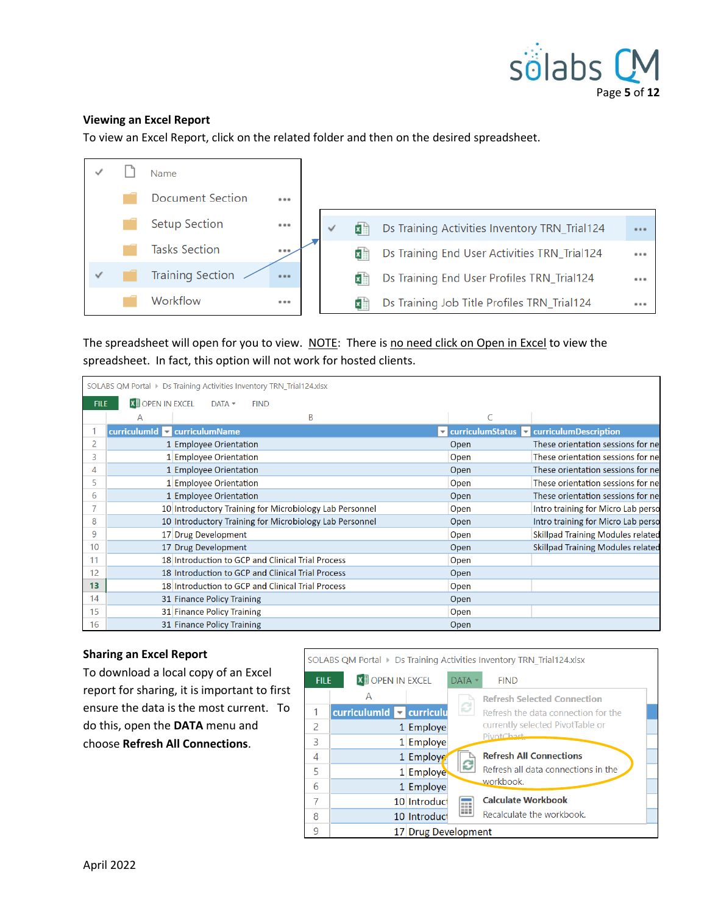

#### <span id="page-4-0"></span>**Viewing an Excel Report**

To view an Excel Report, click on the related folder and then on the desired spreadsheet.



The spreadsheet will open for you to view. NOTE: There is no need click on Open in Excel to view the spreadsheet. In fact, this option will not work for hosted clients.

|    | SOLABS QM Portal > Ds Training Activities Inventory TRN_Trial124.xlsx |                                                         |      |                                                                        |  |  |
|----|-----------------------------------------------------------------------|---------------------------------------------------------|------|------------------------------------------------------------------------|--|--|
|    | <b>X II</b> OPEN IN EXCEL<br>$DATA -$<br>FILE:<br><b>FIND</b>         |                                                         |      |                                                                        |  |  |
|    | A                                                                     | B                                                       |      |                                                                        |  |  |
|    |                                                                       | curriculumId curriculumName                             |      | $\triangledown$ curriculumStatus $\triangledown$ curriculumDescription |  |  |
| 2  |                                                                       | 1 Employee Orientation                                  | Open | These orientation sessions for net                                     |  |  |
| 3  |                                                                       | 1 Employee Orientation                                  | Open | These orientation sessions for net                                     |  |  |
| 4  |                                                                       | 1 Employee Orientation                                  | Open | These orientation sessions for net                                     |  |  |
| 5  |                                                                       | 1 Employee Orientation                                  | Open | These orientation sessions for net                                     |  |  |
| 6  |                                                                       | 1 Employee Orientation                                  | Open | These orientation sessions for net                                     |  |  |
|    |                                                                       | 10 Introductory Training for Microbiology Lab Personnel | Open | Intro training for Micro Lab perso                                     |  |  |
| 8  |                                                                       | 10 Introductory Training for Microbiology Lab Personnel | Open | Intro training for Micro Lab perso                                     |  |  |
| 9  |                                                                       | 17 Drug Development                                     | Open | <b>Skillpad Training Modules related</b>                               |  |  |
| 10 |                                                                       | 17 Drug Development                                     | Open | <b>Skillpad Training Modules related</b>                               |  |  |
| 11 |                                                                       | 18 Introduction to GCP and Clinical Trial Process       | Open |                                                                        |  |  |
| 12 |                                                                       | 18 Introduction to GCP and Clinical Trial Process       | Open |                                                                        |  |  |
| 13 |                                                                       | 18 Introduction to GCP and Clinical Trial Process       | Open |                                                                        |  |  |
| 14 |                                                                       | 31 Finance Policy Training                              | Open |                                                                        |  |  |
| 15 |                                                                       | 31 Finance Policy Training                              | Open |                                                                        |  |  |
| 16 |                                                                       | 31 Finance Policy Training                              | Open |                                                                        |  |  |

#### <span id="page-4-1"></span>**Sharing an Excel Report**

To download a local copy of an Excel report for sharing, it is important to first ensure the data is the most current. To do this, open the **DATA** menu and choose **Refresh All Connections**.

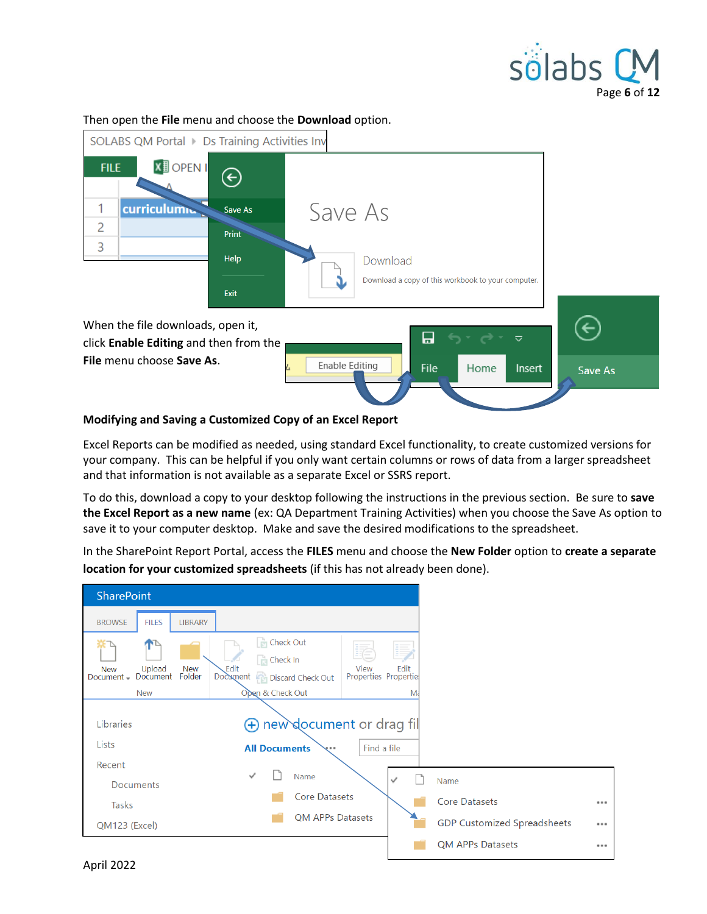



Then open the **File** menu and choose the **Download** option.

#### <span id="page-5-0"></span>**Modifying and Saving a Customized Copy of an Excel Report**

Excel Reports can be modified as needed, using standard Excel functionality, to create customized versions for your company. This can be helpful if you only want certain columns or rows of data from a larger spreadsheet and that information is not available as a separate Excel or SSRS report.

To do this, download a copy to your desktop following the instructions in the previous section. Be sure to **save the Excel Report as a new name** (ex: QA Department Training Activities) when you choose the Save As option to save it to your computer desktop. Make and save the desired modifications to the spreadsheet.

In the SharePoint Report Portal, access the **FILES** menu and choose the **New Folder** option to **create a separate location for your customized spreadsheets** (if this has not already been done).

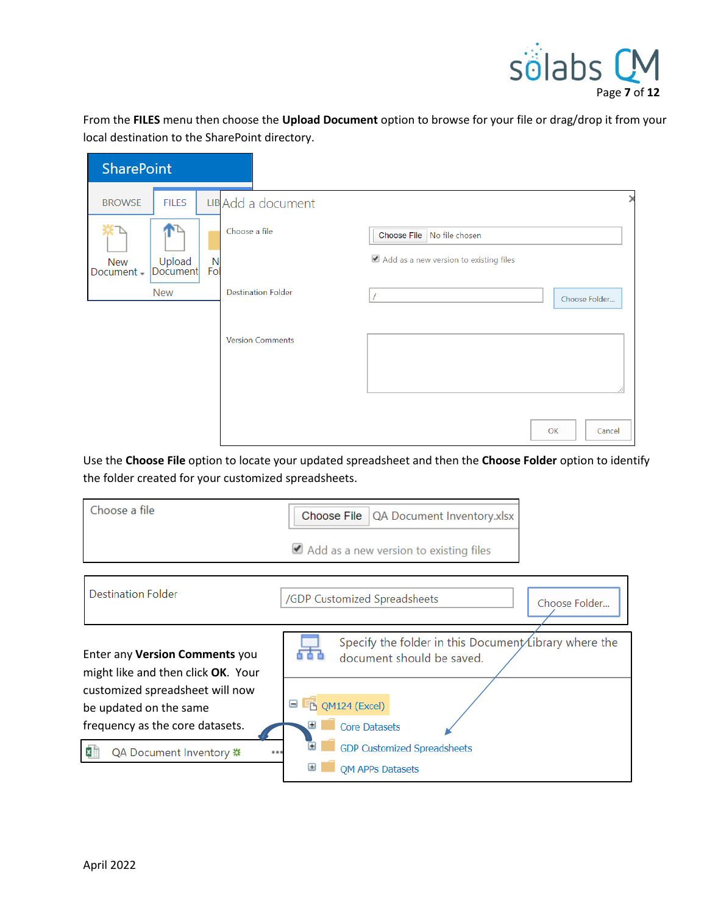

From the **FILES** menu then choose the **Upload Document** option to browse for your file or drag/drop it from your local destination to the SharePoint directory.

| <b>SharePoint</b>                                          |                           |                                        |  |
|------------------------------------------------------------|---------------------------|----------------------------------------|--|
| <b>FILES</b><br><b>BROWSE</b>                              | LIB Add a document        |                                        |  |
|                                                            | Choose a file             | Choose File No file chosen             |  |
| Upload<br>Document<br>N<br><b>New</b><br>Fol<br>Document - |                           | Add as a new version to existing files |  |
| <b>New</b>                                                 | <b>Destination Folder</b> | Choose Folder                          |  |
|                                                            | <b>Version Comments</b>   |                                        |  |
|                                                            |                           |                                        |  |
|                                                            |                           | OK<br>Cancel                           |  |

Use the **Choose File** option to locate your updated spreadsheet and then the **Choose Folder** option to identify the folder created for your customized spreadsheets.

| Choose a file                                                                                                                                                               | Choose File<br>QA Document Inventory.xlsx                                                                                               |
|-----------------------------------------------------------------------------------------------------------------------------------------------------------------------------|-----------------------------------------------------------------------------------------------------------------------------------------|
|                                                                                                                                                                             | Add as a new version to existing files                                                                                                  |
| <b>Destination Folder</b>                                                                                                                                                   | /GDP Customized Spreadsheets<br>Choose Folder                                                                                           |
| Enter any <b>Version Comments</b> you<br>might like and then click OK. Your<br>customized spreadsheet will now<br>be updated on the same<br>frequency as the core datasets. | Specify the folder in this Document∕Library where the<br>document should be saved.<br>QM124 (Excel)<br><b>D</b><br><b>Core Datasets</b> |
| QA Document Inventory #<br>x≣<br>                                                                                                                                           | <b>GDP Customized Spreadsheets</b><br><b>OM APPs Datasets</b>                                                                           |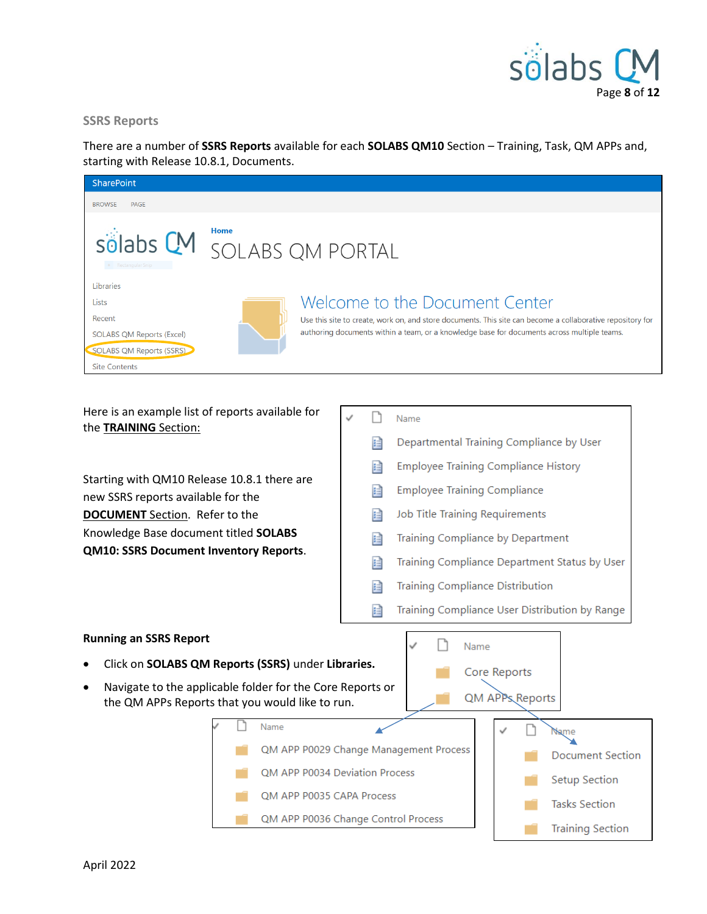

#### <span id="page-7-0"></span>**SSRS Reports**

There are a number of **SSRS Reports** available for each **SOLABS QM10** Section – Training, Task, QM APPs and, starting with Release 10.8.1, Documents.

| <b>SharePoint</b>                                                                                                    |                                                                                                                                                                                                                                             |  |
|----------------------------------------------------------------------------------------------------------------------|---------------------------------------------------------------------------------------------------------------------------------------------------------------------------------------------------------------------------------------------|--|
| <b>BROWSE</b><br><b>PAGE</b>                                                                                         |                                                                                                                                                                                                                                             |  |
| • Rectangular Snip                                                                                                   | <b>Home</b><br>solabs CM SOLABS QM PORTAL                                                                                                                                                                                                   |  |
| Libraries<br>Lists<br>Recent<br><b>SOLABS QM Reports (Excel)</b><br>SOLABS QM Reports (SSRS)<br><b>Site Contents</b> | Welcome to the Document Center<br>Use this site to create, work on, and store documents. This site can become a collaborative repository for<br>authoring documents within a team, or a knowledge base for documents across multiple teams. |  |

Here is an example list of reports available for the **TRAINING** Section:

Starting with QM10 Release 10.8.1 there are new SSRS reports available for the **DOCUMENT** Section. Refer to the Knowledge Base document titled **SOLABS QM10: SSRS Document Inventory Reports**.

- D Name
	- 目 Departmental Training Compliance by User
	- **Employee Training Compliance History** 目
	- **Employee Training Compliance** 目
	- 目 Job Title Training Requirements
	- Training Compliance by Department 目
	- 目 Training Compliance Department Status by User
	- 目 **Training Compliance Distribution**
	- 目 Training Compliance User Distribution by Range

#### <span id="page-7-1"></span>**Running an SSRS Report**

- Click on **SOLABS QM Reports (SSRS)** under **Libraries.**
- Navigate to the applicable folder for the Core Reports or the QM APPs Reports that you would like to run.

Name



**Tasks Section** 

**Training Section** 

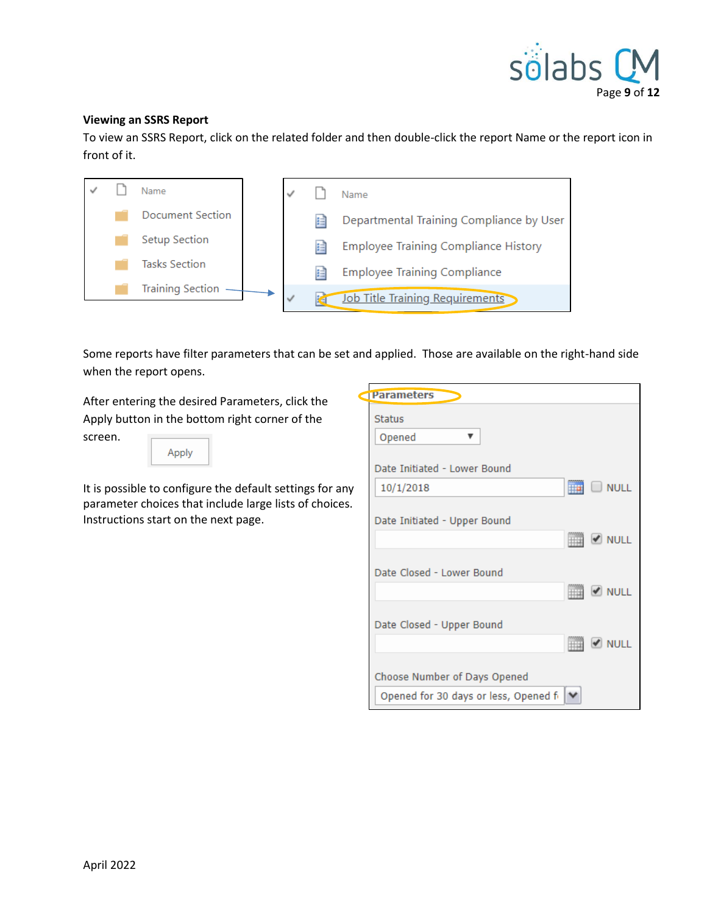

#### <span id="page-8-0"></span>**Viewing an SSRS Report**

To view an SSRS Report, click on the related folder and then double-click the report Name or the report icon in front of it.



Some reports have filter parameters that can be set and applied. Those are available on the right-hand side when the report opens.

After entering the desired Parameters, click the Apply button in the bottom right corner of the screen.

| г<br>Ξ |
|--------|
|--------|

It is possible to configure the default settings for any parameter choices that include large lists of choices. Instructions start on the next page.

| <b>Status</b>                         |                                    |
|---------------------------------------|------------------------------------|
| Opened<br>▼                           |                                    |
| Date Initiated - Lower Bound          |                                    |
| 10/1/2018                             | $\Box$ $\Box$ NULL                 |
| Date Initiated - Upper Bound          |                                    |
|                                       | <b>REAL OF NULL</b>                |
|                                       |                                    |
| Date Closed - Lower Bound             | <b>MONULL</b>                      |
|                                       |                                    |
| Date Closed - Upper Bound             |                                    |
|                                       | $\blacksquare$ $\blacksquare$ NULL |
| Choose Number of Days Opened          |                                    |
| Opened for 30 days or less, Opened fi |                                    |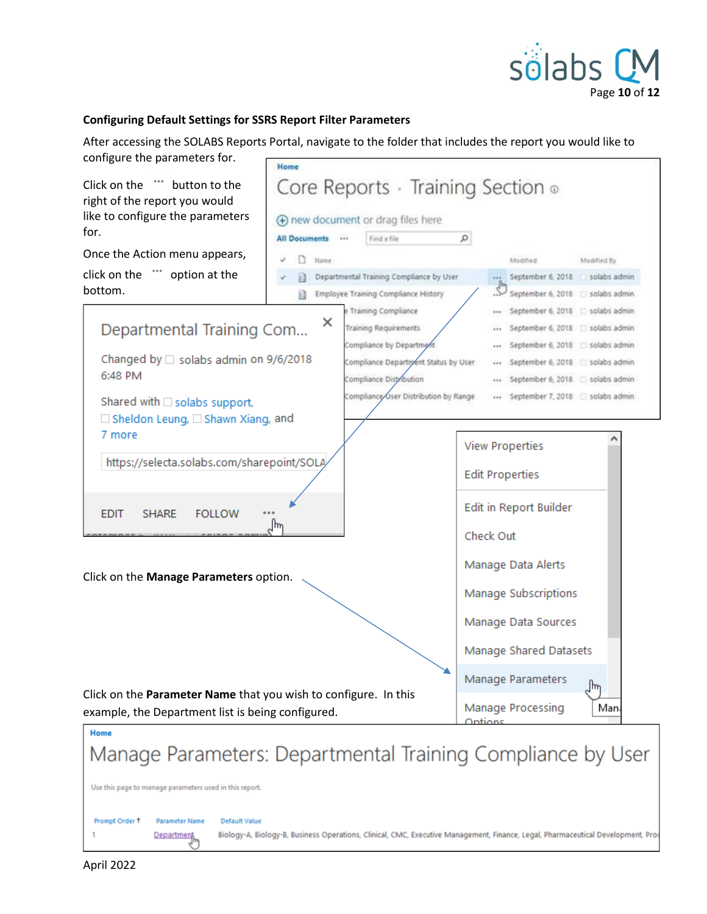

#### **Configuring Default Settings for SSRS Report Filter Parameters**

After accessing the SOLABS Reports Portal, navigate to the folder that includes the report you would like to

| configure the parameters for.                                                                         | Home                 |                                                                                  |                        |                                                                          |             |  |
|-------------------------------------------------------------------------------------------------------|----------------------|----------------------------------------------------------------------------------|------------------------|--------------------------------------------------------------------------|-------------|--|
| Click on the<br>"" button to the<br>right of the report you would<br>like to configure the parameters |                      | Core Reports · Training Section of                                               |                        |                                                                          |             |  |
| for.                                                                                                  | <b>All Documents</b> | (+) new document or drag files here                                              | $\circ$                |                                                                          |             |  |
| Once the Action menu appears,                                                                         |                      | Find a file<br>$-486$                                                            |                        |                                                                          |             |  |
|                                                                                                       | Name:                |                                                                                  |                        | Moddled                                                                  | Modified By |  |
| click on the "" option at the<br>bottom.                                                              | n                    | Departmental Training Compliance by User<br>Employee Training Compliance History |                        | --- September 6, 2018 solabs admin<br>September 6, 2018 [3] solabs admin |             |  |
|                                                                                                       |                      | e Training Compliance                                                            |                        | September 6, 2018 Solabs admin                                           |             |  |
| Departmental Training Com                                                                             | ×                    | Training Requirements                                                            |                        | September 6, 2018 Solabs admin                                           |             |  |
|                                                                                                       |                      | Compliance by Department                                                         |                        | September 6, 2018 Solabs admin                                           |             |  |
| Changed by $\Box$ solabs admin on 9/6/2018                                                            |                      | Compliance Department Status by User                                             |                        | September 6, 2018 [ solabs admin                                         |             |  |
| 6:48 PM                                                                                               |                      | Compliance Distribution                                                          |                        | September 6, 2018   solabs admin                                         |             |  |
| Shared with □ solabs support,                                                                         |                      | Compliance User Distribution by Range                                            |                        | September 7, 2018 Solabs admin                                           |             |  |
| $\Box$ Sheldon Leung, $\Box$ Shawn Xiang, and<br>7 more<br>https://selecta.solabs.com/sharepoint/SOL/ |                      |                                                                                  | <b>View Properties</b> |                                                                          |             |  |
|                                                                                                       |                      |                                                                                  | <b>Edit Properties</b> |                                                                          |             |  |
| <b>EDIT</b><br><b>SHARE</b><br><b>FOLLOW</b><br>ᡕᠠ                                                    |                      | Edit in Report Builder                                                           |                        |                                                                          |             |  |
|                                                                                                       |                      | Check Out                                                                        |                        |                                                                          |             |  |
| Click on the Manage Parameters option.                                                                |                      | Manage Data Alerts                                                               |                        |                                                                          |             |  |
|                                                                                                       |                      | Manage Subscriptions                                                             |                        |                                                                          |             |  |
|                                                                                                       |                      |                                                                                  | Manage Data Sources    |                                                                          |             |  |
|                                                                                                       |                      |                                                                                  |                        | Manage Shared Datasets                                                   |             |  |
| Click on the Parameter Name that you wish to configure. In this                                       |                      |                                                                                  |                        | Manage Parameters                                                        | ]հղ         |  |
| example, the Department list is being configured.                                                     |                      |                                                                                  | Ontions                | Manage Processing                                                        | Man         |  |

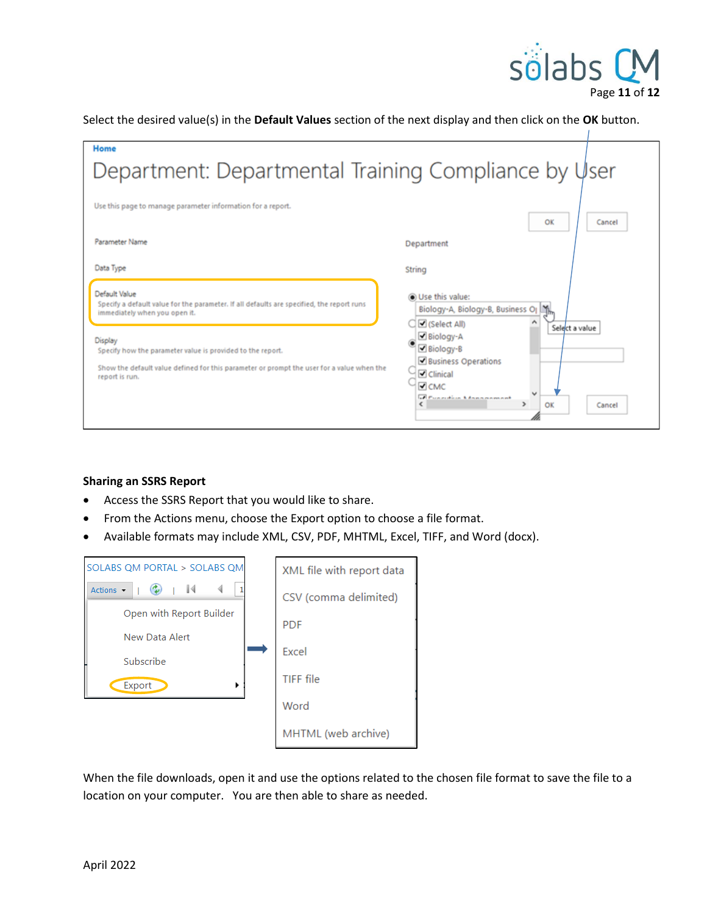

Select the desired value(s) in the **Default Values** section of the next display and then click on the **OK** button.

| Home                                                                                                                                                                                                                                                                                                                                             |                                                                                                                                                                                                                                                                                |  |  |  |
|--------------------------------------------------------------------------------------------------------------------------------------------------------------------------------------------------------------------------------------------------------------------------------------------------------------------------------------------------|--------------------------------------------------------------------------------------------------------------------------------------------------------------------------------------------------------------------------------------------------------------------------------|--|--|--|
| Department: Departmental Training Compliance by User                                                                                                                                                                                                                                                                                             |                                                                                                                                                                                                                                                                                |  |  |  |
| Use this page to manage parameter information for a report.                                                                                                                                                                                                                                                                                      | OK<br>Cancel                                                                                                                                                                                                                                                                   |  |  |  |
| Parameter Name                                                                                                                                                                                                                                                                                                                                   | Department                                                                                                                                                                                                                                                                     |  |  |  |
| Data Type<br>Default Value<br>Specify a default value for the parameter. If all defaults are specified, the report runs<br>immediately when you open it.<br>Display<br>Specify how the parameter value is provided to the report.<br>Show the default value defined for this parameter or prompt the user for a value when the<br>report is run. | String<br><b>O</b> Use this value:<br>Biology-A, Biology-B, Business OJ<br>Gelect All)<br>Select a value<br>Biology-A<br>Biology-B<br><b>Business Operations</b><br>Clinical<br>$\triangledown$ CMC<br><b>The Foundation Advancement</b><br>$\rightarrow$<br>OK<br>x<br>Cancel |  |  |  |

#### <span id="page-10-0"></span>**Sharing an SSRS Report**

- Access the SSRS Report that you would like to share.
- From the Actions menu, choose the Export option to choose a file format.
- Available formats may include XML, CSV, PDF, MHTML, Excel, TIFF, and Word (docx).

| SOLABS OM PORTAL > SOLABS OM | XML file with report data |
|------------------------------|---------------------------|
| Actions $\blacktriangledown$ | CSV (comma delimited)     |
| Open with Report Builder     | <b>PDF</b>                |
| New Data Alert               |                           |
| Subscribe                    | Excel                     |
| Export<br>٠                  | TIFF file                 |
|                              | Word                      |
|                              | MHTML (web archive)       |

When the file downloads, open it and use the options related to the chosen file format to save the file to a location on your computer. You are then able to share as needed.